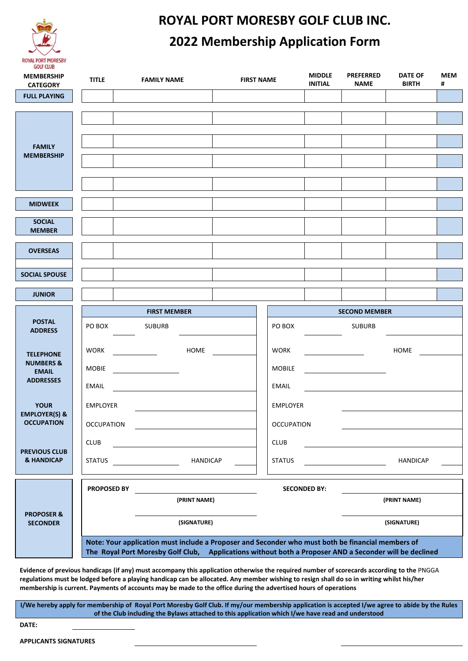

### **ROYAL PORT MORESBY GOLF CLUB INC. 2022 Membership Application Form**

| <b>MEMBERSHIP</b><br><b>CATEGORY</b>                                         | <b>TITLE</b>                         | <b>FAMILY NAME</b>                                                                                | <b>MIDDLE</b><br><b>FIRST NAME</b><br><b>INITIAL</b>                                                   |                     |                      | <b>PREFERRED</b><br><b>DATE OF</b><br><b>MEM</b><br><b>BIRTH</b><br><b>NAME</b><br># |  |  |  |  |  |
|------------------------------------------------------------------------------|--------------------------------------|---------------------------------------------------------------------------------------------------|--------------------------------------------------------------------------------------------------------|---------------------|----------------------|--------------------------------------------------------------------------------------|--|--|--|--|--|
| <b>FULL PLAYING</b>                                                          |                                      |                                                                                                   |                                                                                                        |                     |                      |                                                                                      |  |  |  |  |  |
| <b>FAMILY</b><br><b>MEMBERSHIP</b>                                           |                                      |                                                                                                   |                                                                                                        |                     |                      |                                                                                      |  |  |  |  |  |
| <b>MIDWEEK</b>                                                               |                                      |                                                                                                   |                                                                                                        |                     |                      |                                                                                      |  |  |  |  |  |
| <b>SOCIAL</b><br><b>MEMBER</b>                                               |                                      |                                                                                                   |                                                                                                        |                     |                      |                                                                                      |  |  |  |  |  |
| <b>OVERSEAS</b>                                                              |                                      |                                                                                                   |                                                                                                        |                     |                      |                                                                                      |  |  |  |  |  |
| <b>SOCIAL SPOUSE</b>                                                         |                                      |                                                                                                   |                                                                                                        |                     |                      |                                                                                      |  |  |  |  |  |
| <b>JUNIOR</b>                                                                |                                      |                                                                                                   |                                                                                                        |                     |                      |                                                                                      |  |  |  |  |  |
|                                                                              |                                      | <b>FIRST MEMBER</b>                                                                               |                                                                                                        |                     | <b>SECOND MEMBER</b> |                                                                                      |  |  |  |  |  |
| <b>POSTAL</b><br><b>ADDRESS</b>                                              | PO BOX                               | <b>SUBURB</b>                                                                                     | PO BOX                                                                                                 |                     | <b>SUBURB</b>        |                                                                                      |  |  |  |  |  |
| <b>TELEPHONE</b><br><b>NUMBERS &amp;</b><br><b>EMAIL</b><br><b>ADDRESSES</b> | WORK<br><b>MOBIE</b><br><b>EMAIL</b> | HOME<br><u> 1980 - Johann Barbara, martin a</u>                                                   | <b>WORK</b><br><b>MOBILE</b><br><b>EMAIL</b>                                                           |                     |                      | HOME                                                                                 |  |  |  |  |  |
| <b>YOUR</b>                                                                  | <b>EMPLOYER</b>                      |                                                                                                   | <b>EMPLOYER</b>                                                                                        |                     |                      |                                                                                      |  |  |  |  |  |
| <b>EMPLOYER(S) &amp;</b><br><b>OCCUPATION</b>                                | <b>OCCUPATION</b>                    |                                                                                                   | <b>OCCUPATION</b>                                                                                      |                     |                      |                                                                                      |  |  |  |  |  |
| <b>PREVIOUS CLUB</b>                                                         | CLUB                                 |                                                                                                   | CLUB                                                                                                   |                     |                      |                                                                                      |  |  |  |  |  |
| <b>&amp; HANDICAP</b>                                                        | <b>STATUS</b>                        | <b>HANDICAP</b>                                                                                   | <b>STATUS</b>                                                                                          |                     |                      | <b>HANDICAP</b>                                                                      |  |  |  |  |  |
|                                                                              | PROPOSED BY                          |                                                                                                   |                                                                                                        | <b>SECONDED BY:</b> |                      |                                                                                      |  |  |  |  |  |
|                                                                              |                                      | (PRINT NAME)                                                                                      |                                                                                                        |                     |                      | (PRINT NAME)                                                                         |  |  |  |  |  |
| <b>PROPOSER &amp;</b><br><b>SECONDER</b>                                     |                                      | (SIGNATURE)                                                                                       |                                                                                                        |                     |                      | (SIGNATURE)                                                                          |  |  |  |  |  |
|                                                                              |                                      | Note: Your application must include a Proposer and Seconder who must both be financial members of | The Royal Port Moresby Golf Club, Applications without both a Proposer AND a Seconder will be declined |                     |                      |                                                                                      |  |  |  |  |  |

**Evidence of previous handicaps (if any) must accompany this application otherwise the required number of scorecards according to the** PNGGA **regulations must be lodged before a playing handicap can be allocated. Any member wishing to resign shall do so in writing whilst his/her membership is current. Payments of accounts may be made to the office during the advertised hours of operations**

**I/We hereby apply for membership of Royal Port Moresby Golf Club. If my/our membership application is accepted I/we agree to abide by the Rules of the Club including the Bylaws attached to this application which I/we have read and understood**

**DATE:**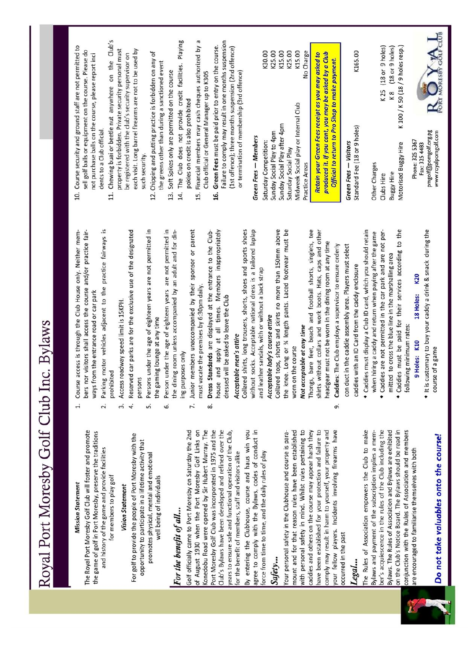| $-1$                          |  |
|-------------------------------|--|
| )<br>{<br>{<br>i              |  |
| $\ddot{\zeta}$                |  |
| $\frac{1}{2}$                 |  |
| זהה לא                        |  |
| $\frac{1}{2}$                 |  |
| $\overline{\phantom{a}}$<br>I |  |

### **Mission Statement**

The Royal Port Moresby Golf Club will foster and promote the game of golf in Port Moresby, preserve the traditions and history of the game and provide facilities for members to play golf

### **Vision Statement**

For golf to provide the people of Port Moresby with the opportunity to participate in a lifetime activity that promotes physical, mental and emotional well being of individuals

# For the benefit of all...

Golf officially came to Port Moresby on Saturday the 2nd of August 1930 when the Port Moresby Golf Links on Konedobu Road were opened by Sir Hubert Murray. The Club's Bylaws have been developed and refined over the Port Moresby Golf Club was incorporated in 1975 and the years to ensure safe and functional operation of the Club, for the benefit of members, staff and visitors alike

By entering the Clubhouse, course and haus win you agree to comply with the Bylaws, codes of conduct in force from time to time, and the daily rules of play

### Safety...

with personal safety in mind. Whilst rules pertaining to caddies and others on the course may appear harsh they have been established for your protection and failure to comply may result in harm to yourself, your property and your fellow players. Incidents involving firearms have Your personal safety in the Clubhouse and course is paramount and for that reason rules have been established occurred in the past

### Legal...

The Rules of Association empowers the Club to make Bylaws and payment of the subscription implies a mem-Bylaws. The Rules of Association and Bylaws are exhibited on the Club's Notice Board. The Bylaws should be read in conjunction with the Rules of Association and members ber's acquiescence in the rules of the Club including the are encouraged to familiarise themselves with both



# Do not take valuables onto the course!

- Course access is through the Club House only. Neither members nor visitors shall access the course and/or practice fairways from the entrance road or car park  $\ddot{ }$ 
	- Parking motor vehicles adjacent to the practice fairways is prohibited  $\overline{a}$
- Access roadway speed limit is 15KPH.  $\ddot{ }$
- Reserved car parks are for the exclusive use of the designated persons  $\overline{4}$
- Persons under the age of eighteen years are not permitted in the gaming lounge at any time

<u>uni</u>

- Person under the age of eighteen years are not permitted in the dining room unless accompanied by an adult and for dinng purposes only 6
- Junior members unaccompanied by their sponsor or parent must vacate the premises by 6:30pm daily. 7.
- house and apply at all times. Members inappropriately Dress Standards are displayed at the entrance to the Clubdressed will be asked to leave the Club 8

### Acceptable men's attire

Collared shirts, long trousers, shorts, shoes and sports shoes without socks. Acceptable national dress is a tailored laplap and leather sandals, with or without a back strap

# Acceptable lady's course attire

Collared tops, shorts and skirts no more than 150mm above the knee. Long or % length pants. Laced footwear must be worn on the course

## Not acceptable at any time

Thongs, bare feet, beach and football shorts, singlets, tee shirts without collars and work boots. Hats, caps and other headgear must not be worn in the dining room at any time

- Caddies: The Club employs a supervisor to ensure orderly con duct in the caddie assembly area. Players must select caddies with an ID Card from the caddy enclosure ஏ்
- · Caddies must display a Club ID card, which you should retain • Caddies are not permitted in the car park and are not perwhen hiring a caddy and return when paying after the game
- . Caddies must be paid for their services according to the mitted to cross the blue line in the marshalling area
	- following minimum rates:

### 18 Holes: K20 9 Holes: K10

. It is customary to buy your caddy a drink & snack during the course of a game

- 10. Course security and ground staff are not permitted to sell golf balls or equipment on the course. Please do not purchase balls on the course, please report inci dents to a Club official.
- 11. Chewing buai or beetle nut anywhere on the Club's property is forbidden. Private security personal must each visit. Long barrel firearms are not to be used by be registered with the club's security supervisor on such security.
- 12. Chipping and putting practice is forbidden on any of the greens other than during a sanctioned event
	- 13. Soft Spikes only are permitted on the course
- 14. The Club does not provide credit facilities. Playing pokies on credit is also prohibited
- 15. Financial members may cash cheques authorized by a Club official or General Manager up to K305
- Failure to comply may result in one months suspension Green Fees must be paid prior to entry on the course. (1st offence); three months suspension (2nd offence) or termination of membership (3rd offence) 16.

### Green Fees - Members

| Saturday Competition:                                                                                      | K30.00    |
|------------------------------------------------------------------------------------------------------------|-----------|
| Sunday Social Play to 4pm                                                                                  | K25.00    |
| Sunday Social Play after 4pm                                                                               | K15.00    |
| Saturday Social Play                                                                                       | K25.00    |
| Midweek Social play or Internal Club                                                                       | K15.00    |
| Practice Areas                                                                                             | No Charge |
| produced it. If you cant, you may be asked by a Club<br>Retain your Green Fees receipt as you may asked to |           |

### **Green Fees - Visitors** Standa

Official to return to Pro Shop to make payment.

| tandard Fee (18 or 9 holes | K165.00 |
|----------------------------|---------|
| her Charge                 |         |

| (18 or 9 holes | (18 or 9 holes) |                                |
|----------------|-----------------|--------------------------------|
| K25            |                 | K 100 / K 50 (18 / 9 holes     |
| Clubs Hire     | v Hire<br>uggy  | <b>Bugg</b><br><b>Aotorise</b> |

pmgolf@pomgolf.org.pg<br>www.royalpomgolf.com Phone: 325 5367 Fax: 325 4483